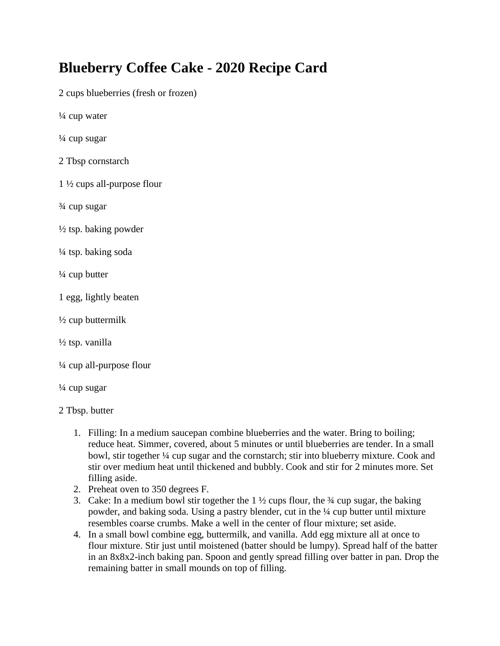## **Blueberry Coffee Cake - 2020 Recipe Card**

2 cups blueberries (fresh or frozen)

¼ cup water

 $\frac{1}{4}$  cup sugar

2 Tbsp cornstarch

1 ½ cups all-purpose flour

¾ cup sugar

 $\frac{1}{2}$  tsp. baking powder

¼ tsp. baking soda

 $\frac{1}{4}$  cup butter

1 egg, lightly beaten

 $\frac{1}{2}$  cup buttermilk

½ tsp. vanilla

¼ cup all-purpose flour

 $\frac{1}{4}$  cup sugar

2 Tbsp. butter

- 1. Filling: In a medium saucepan combine blueberries and the water. Bring to boiling; reduce heat. Simmer, covered, about 5 minutes or until blueberries are tender. In a small bowl, stir together ¼ cup sugar and the cornstarch; stir into blueberry mixture. Cook and stir over medium heat until thickened and bubbly. Cook and stir for 2 minutes more. Set filling aside.
- 2. Preheat oven to 350 degrees F.
- 3. Cake: In a medium bowl stir together the  $1\frac{1}{2}$  cups flour, the  $\frac{3}{4}$  cup sugar, the baking powder, and baking soda. Using a pastry blender, cut in the ¼ cup butter until mixture resembles coarse crumbs. Make a well in the center of flour mixture; set aside.
- 4. In a small bowl combine egg, buttermilk, and vanilla. Add egg mixture all at once to flour mixture. Stir just until moistened (batter should be lumpy). Spread half of the batter in an 8x8x2-inch baking pan. Spoon and gently spread filling over batter in pan. Drop the remaining batter in small mounds on top of filling.